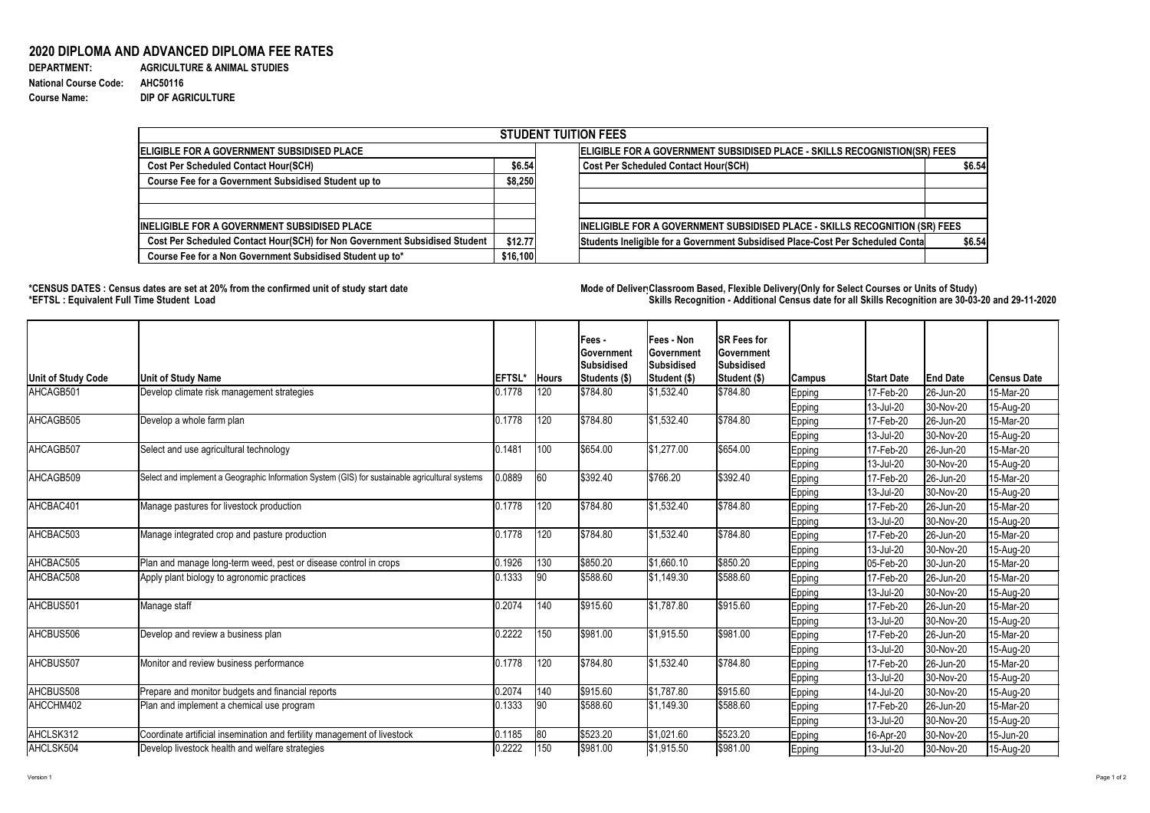## **2020 DIPLOMA AND ADVANCED DIPLOMA FEE RATES**

| <b>DEPARTMENT:</b>           |
|------------------------------|
| <b>National Course Code:</b> |
| <b>Course Name:</b>          |

**AGRICULTURE & ANIMAL STUDIES National Course Code: AHC50116 DIP OF AGRICULTURE** 

## **\*CENSUS DATES : Census dates are set at 20% from the confirmed unit of study start date Mode of DeliveryClassroom Based, Flexible Delivery(Only for Select Courses or Units of Study) \*EFTSL : Equivalent Full Time Student Load Skills Recognition - Additional Census date for all Skills Recognition are 30-03-20 and 29-11-2020**



| <b>STUDENT TUITION FEES</b>                                                |          |                                                                                          |  |  |  |  |  |  |  |
|----------------------------------------------------------------------------|----------|------------------------------------------------------------------------------------------|--|--|--|--|--|--|--|
| <b>IELIGIBLE FOR A GOVERNMENT SUBSIDISED PLACE</b>                         |          | ELIGIBLE FOR A GOVERNMENT SUBSIDISED PLACE - SKILLS RECOGNISTION(SR) FEES                |  |  |  |  |  |  |  |
| <b>Cost Per Scheduled Contact Hour(SCH)</b>                                | \$6.54   | <b>Cost Per Scheduled Contact Hour(SCH)</b><br>\$6.54                                    |  |  |  |  |  |  |  |
| <b>Course Fee for a Government Subsidised Student up to</b>                | \$8,250  |                                                                                          |  |  |  |  |  |  |  |
| INELIGIBLE FOR A GOVERNMENT SUBSIDISED PLACE                               |          | INELIGIBLE FOR A GOVERNMENT SUBSIDISED PLACE - SKILLS RECOGNITION (SR) FEES              |  |  |  |  |  |  |  |
| Cost Per Scheduled Contact Hour(SCH) for Non Government Subsidised Student | \$12.77  | Students Ineligible for a Government Subsidised Place-Cost Per Scheduled Conta<br>\$6.54 |  |  |  |  |  |  |  |
| Course Fee for a Non Government Subsidised Student up to*                  | \$16,100 |                                                                                          |  |  |  |  |  |  |  |

| <b>Unit of Study Code</b>                                                                            | <b>Unit of Study Name</b>                                                                       | <b>EFTSL'</b> | <b>Hours</b>  | Fees -<br><b>Government</b><br><b>Subsidised</b><br>Students (\$) | <b>Fees - Non</b><br><b>Government</b><br>Subsidised<br><b>Student (\$)</b>                                                                                                                                                                                                                                    | <b>SR Fees for</b><br><b>Government</b><br><b>Subsidised</b><br>Student (\$) | <b>Campus</b> | <b>Start Date</b> | <b>End Date</b> | ∣Census Date |
|------------------------------------------------------------------------------------------------------|-------------------------------------------------------------------------------------------------|---------------|---------------|-------------------------------------------------------------------|----------------------------------------------------------------------------------------------------------------------------------------------------------------------------------------------------------------------------------------------------------------------------------------------------------------|------------------------------------------------------------------------------|---------------|-------------------|-----------------|--------------|
| AHCAGB501                                                                                            | Develop climate risk management strategies                                                      | 0.1778        | 120           | \$784.80                                                          | \$1,532.40                                                                                                                                                                                                                                                                                                     | \$784.80                                                                     | <b>Epping</b> | 17-Feb-20         | 26-Jun-20       | 15-Mar-20    |
|                                                                                                      |                                                                                                 |               |               |                                                                   |                                                                                                                                                                                                                                                                                                                |                                                                              | Epping        | 13-Jul-20         | 30-Nov-20       | 15-Aug-20    |
| AHCAGB505                                                                                            | Develop a whole farm plan                                                                       | 0.1778        | 120           | \$784.80                                                          | \$1,532.40                                                                                                                                                                                                                                                                                                     | \$784.80                                                                     | <b>Epping</b> | 17-Feb-20         | 26-Jun-20       | 15-Mar-20    |
|                                                                                                      |                                                                                                 |               |               |                                                                   |                                                                                                                                                                                                                                                                                                                |                                                                              | <b>Epping</b> | 13-Jul-20         | 30-Nov-20       | 15-Aug-20    |
| AHCAGB507<br>AHCAGB509<br>AHCBAC401<br>AHCBAC503<br>AHCBAC505<br>AHCBAC508<br>AHCBUS501<br>AHCBUS506 | Select and use agricultural technology                                                          | 0.1481        | 100           | \$654.00                                                          | \$1,277.00                                                                                                                                                                                                                                                                                                     | \$654.00                                                                     | <b>Epping</b> | 17-Feb-20         | 26-Jun-20       | 15-Mar-20    |
|                                                                                                      |                                                                                                 |               |               |                                                                   |                                                                                                                                                                                                                                                                                                                |                                                                              | <b>Epping</b> | 13-Jul-20         | 30-Nov-20       | 15-Aug-20    |
|                                                                                                      | Select and implement a Geographic Information System (GIS) for sustainable agricultural systems | 0.0889        | 60            | \$392.40                                                          |                                                                                                                                                                                                                                                                                                                | \$392.40                                                                     | <b>Epping</b> | 17-Feb-20         | 26-Jun-20       | 15-Mar-20    |
|                                                                                                      |                                                                                                 |               |               |                                                                   |                                                                                                                                                                                                                                                                                                                |                                                                              | <b>Epping</b> | 13-Jul-20         | 30-Nov-20       | 15-Aug-20    |
|                                                                                                      | Manage pastures for livestock production                                                        | 0.1778        | 120           | \$784.80                                                          |                                                                                                                                                                                                                                                                                                                | \$784.80                                                                     | <b>Epping</b> | 17-Feb-20         | 26-Jun-20       | 15-Mar-20    |
|                                                                                                      |                                                                                                 |               |               |                                                                   |                                                                                                                                                                                                                                                                                                                |                                                                              | <b>Epping</b> | 13-Jul-20         | 30-Nov-20       | 15-Aug-20    |
|                                                                                                      | Manage integrated crop and pasture production                                                   | 0.1778        | 120           | \$784.80                                                          | \$1,532.40                                                                                                                                                                                                                                                                                                     | \$784.80                                                                     | <b>Epping</b> | 17-Feb-20         | 26-Jun-20       | 15-Mar-20    |
|                                                                                                      |                                                                                                 |               |               |                                                                   |                                                                                                                                                                                                                                                                                                                |                                                                              | <b>Epping</b> | 13-Jul-20         | 30-Nov-20       | 15-Aug-20    |
|                                                                                                      | Plan and manage long-term weed, pest or disease control in crops                                | 0.1926        | 130           | \$850.20                                                          | \$1,660.10                                                                                                                                                                                                                                                                                                     |                                                                              | <b>Epping</b> | $ 05 - Feb - 20$  | 30-Jun-20       | 15-Mar-20    |
|                                                                                                      | Apply plant biology to agronomic practices                                                      | 0.1333        | $ 90\rangle$  | \$588.60                                                          | \$1,149.30                                                                                                                                                                                                                                                                                                     |                                                                              | <u>Epping</u> | 17-Feb-20         | 26-Jun-20       | 15-Mar-20    |
|                                                                                                      |                                                                                                 |               |               |                                                                   |                                                                                                                                                                                                                                                                                                                |                                                                              | Epping        | 13-Jul-20         | 30-Nov-20       | 15-Aug-20    |
|                                                                                                      | Manage staff                                                                                    | 0.2074        | 140           | \$915.60                                                          | \$1,787.80                                                                                                                                                                                                                                                                                                     | \$915.60                                                                     | <b>Epping</b> | 17-Feb-20         | 26-Jun-20       | 15-Mar-20    |
|                                                                                                      |                                                                                                 |               |               |                                                                   | \$766.20<br> \$1,532.40<br>\$850.20<br>\$588.60<br>13-Jul-20<br><b>Epping</b><br> \$981.00<br> \$1,915.50<br>17-Feb-20<br><b>Epping</b><br>13-Jul-20<br><b>Epping</b><br>\$784.80<br> \$1,532.40<br>17-Feb-20<br><b>Epping</b><br>13-Jul-20<br>Epping<br>\$915.60<br> \$1,787.80<br>14-Jul-20<br><b>Epping</b> | 30-Nov-20                                                                    | 15-Aug-20     |                   |                 |              |
|                                                                                                      | Develop and review a business plan                                                              | 0.2222        | $ 150\rangle$ | \$981.00                                                          |                                                                                                                                                                                                                                                                                                                |                                                                              |               |                   | 26-Jun-20       | 15-Mar-20    |
|                                                                                                      |                                                                                                 |               |               |                                                                   |                                                                                                                                                                                                                                                                                                                |                                                                              |               |                   | 30-Nov-20       | 15-Aug-20    |
| AHCBUS507                                                                                            | Monitor and review business performance                                                         | 0.1778        | 120           | \$784.80                                                          |                                                                                                                                                                                                                                                                                                                |                                                                              |               |                   | 26-Jun-20       | 15-Mar-20    |
|                                                                                                      |                                                                                                 |               |               |                                                                   |                                                                                                                                                                                                                                                                                                                |                                                                              |               |                   | 30-Nov-20       | 15-Aug-20    |
| AHCBUS508                                                                                            | Prepare and monitor budgets and financial reports                                               | 0.2074        | $ 140\rangle$ | \$915.60                                                          |                                                                                                                                                                                                                                                                                                                |                                                                              |               |                   | 30-Nov-20       | 15-Aug-20    |
| AHCCHM402                                                                                            | Plan and implement a chemical use program                                                       | 0.1333        | $ 90\rangle$  | \$588.60                                                          | \$1,149.30                                                                                                                                                                                                                                                                                                     | \$588.60                                                                     | <b>Epping</b> | 17-Feb-20         | 26-Jun-20       | 15-Mar-20    |
|                                                                                                      |                                                                                                 |               |               |                                                                   |                                                                                                                                                                                                                                                                                                                |                                                                              | <b>Epping</b> | 13-Jul-20         | 30-Nov-20       | 15-Aug-20    |
| AHCLSK312                                                                                            | Coordinate artificial insemination and fertility management of livestock                        | 0.1185        | $ 80\rangle$  | \$523.20                                                          | \$1,021.60                                                                                                                                                                                                                                                                                                     | \$523.20                                                                     | Epping        | 16-Apr-20         | 30-Nov-20       | 15-Jun-20    |
| AHCLSK504                                                                                            | Develop livestock health and welfare strategies                                                 | 0.2222        | 150           | \$981.00                                                          | \$1,915.50                                                                                                                                                                                                                                                                                                     | \$981.00                                                                     | <b>Epping</b> | $ 13 -$ Jul-20    | 30-Nov-20       | 15-Aug-20    |